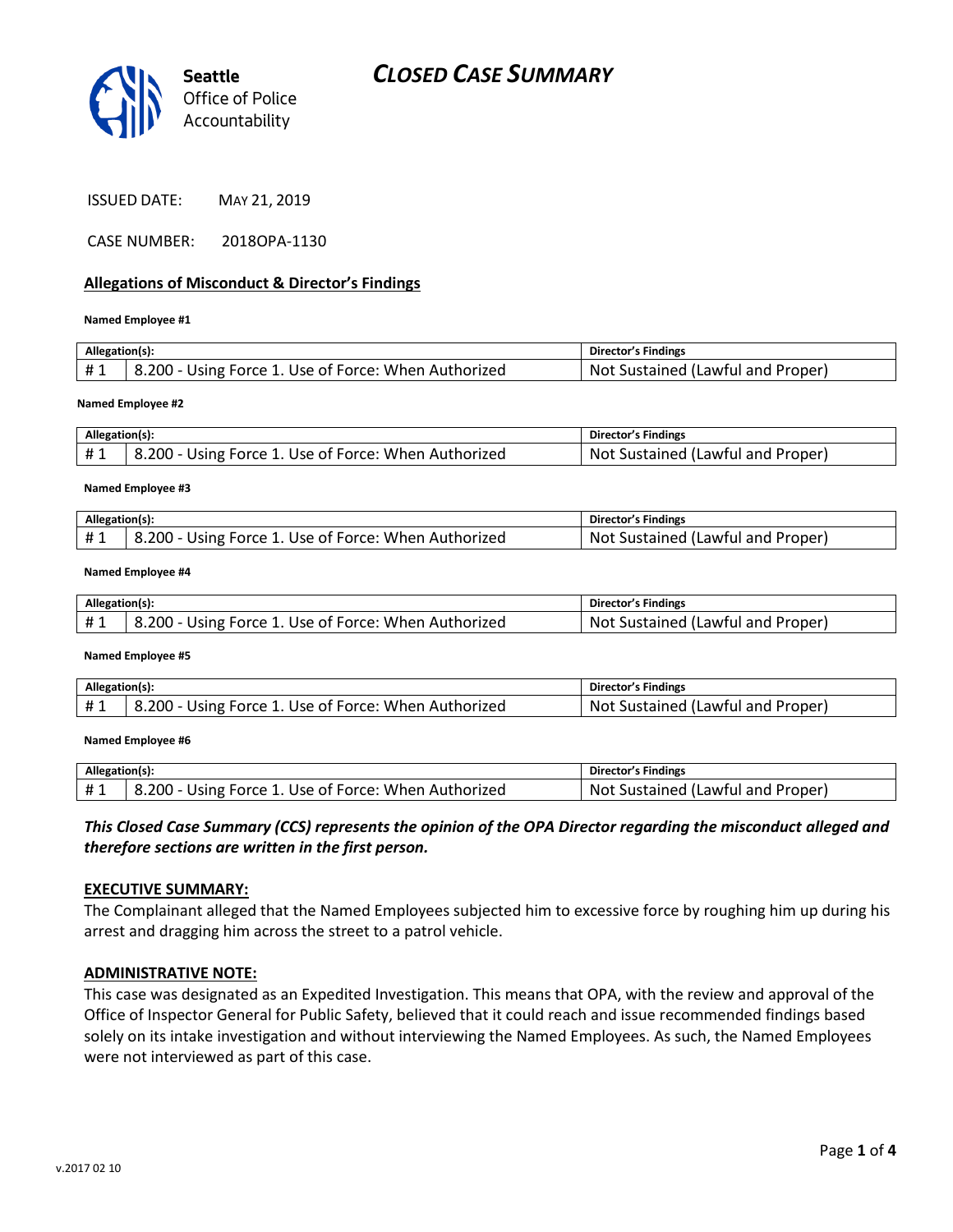

| <b>ISSUED DATE:</b> | MAY 21, 2019 |
|---------------------|--------------|
|---------------------|--------------|

CASE NUMBER: 2018OPA-1130

### **Allegations of Misconduct & Director's Findings**

#### **Named Employee #1**

| Allegation(s): |                                                      | Director's Findings               |
|----------------|------------------------------------------------------|-----------------------------------|
| #1             | 8.200 - Using Force 1. Use of Force: When Authorized | Not Sustained (Lawful and Proper) |
|                |                                                      |                                   |

#### **Named Employee #2**

| Allegation(s): |                                                     | <b>Director's Findings</b>                 |
|----------------|-----------------------------------------------------|--------------------------------------------|
|                | .200 - Using Force 1. Use of Force: When Authorized | u Properi<br>Sustained (Lawful and<br>Not. |

#### **Named Employee #3**

| Allegation(s): |                                                     | Director's Findings                    |
|----------------|-----------------------------------------------------|----------------------------------------|
| #1             | .200 - Using Force 1. Use of Force: When Authorized | Not<br>: Sustained (Lawful and Proper) |

#### **Named Employee #4**

| Allegation(s): |                                                      | Director's Findings                   |
|----------------|------------------------------------------------------|---------------------------------------|
| $+1$<br>π⊥     | 8.200 - Using Force 1. Use of Force: When Authorized | Sustained (Lawful and Proper)<br>Not. |

#### **Named Employee #5**

| Allegation(s): |                                                      | Director's Findings               |
|----------------|------------------------------------------------------|-----------------------------------|
| #1             | 8.200 - Using Force 1. Use of Force: When Authorized | Not Sustained (Lawful and Proper) |

#### **Named Employee #6**

| Allegation(s): |                                                      | Director's Findings               |
|----------------|------------------------------------------------------|-----------------------------------|
| £ 1            | 8.200 - Using Force 1. Use of Force: When Authorized | Not Sustained (Lawful and Proper) |

*This Closed Case Summary (CCS) represents the opinion of the OPA Director regarding the misconduct alleged and therefore sections are written in the first person.* 

### **EXECUTIVE SUMMARY:**

The Complainant alleged that the Named Employees subjected him to excessive force by roughing him up during his arrest and dragging him across the street to a patrol vehicle.

### **ADMINISTRATIVE NOTE:**

This case was designated as an Expedited Investigation. This means that OPA, with the review and approval of the Office of Inspector General for Public Safety, believed that it could reach and issue recommended findings based solely on its intake investigation and without interviewing the Named Employees. As such, the Named Employees were not interviewed as part of this case.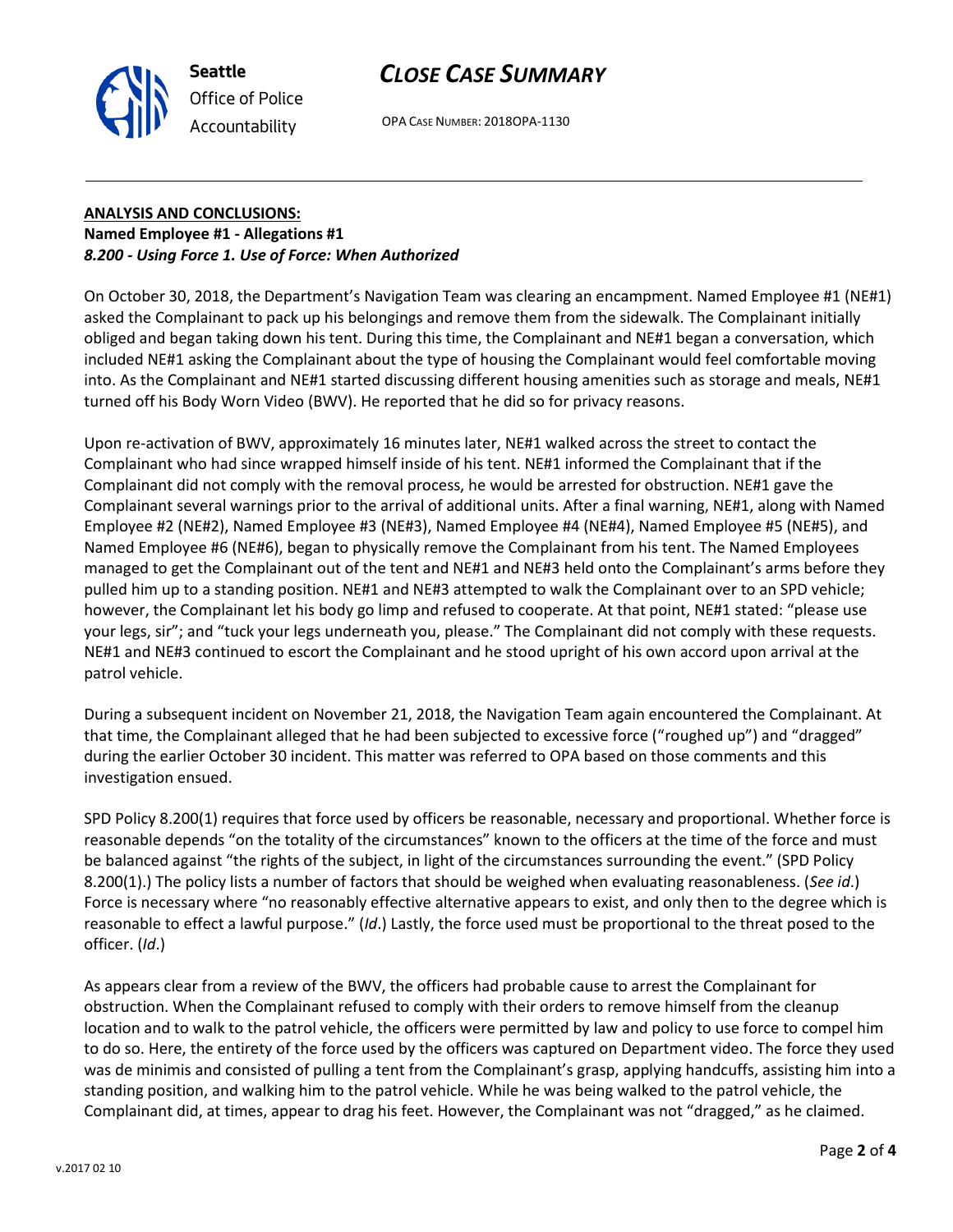# *CLOSE CASE SUMMARY*



OPA CASE NUMBER: 2018OPA-1130

## **ANALYSIS AND CONCLUSIONS: Named Employee #1 - Allegations #1** *8.200 - Using Force 1. Use of Force: When Authorized*

On October 30, 2018, the Department's Navigation Team was clearing an encampment. Named Employee #1 (NE#1) asked the Complainant to pack up his belongings and remove them from the sidewalk. The Complainant initially obliged and began taking down his tent. During this time, the Complainant and NE#1 began a conversation, which included NE#1 asking the Complainant about the type of housing the Complainant would feel comfortable moving into. As the Complainant and NE#1 started discussing different housing amenities such as storage and meals, NE#1 turned off his Body Worn Video (BWV). He reported that he did so for privacy reasons.

Upon re-activation of BWV, approximately 16 minutes later, NE#1 walked across the street to contact the Complainant who had since wrapped himself inside of his tent. NE#1 informed the Complainant that if the Complainant did not comply with the removal process, he would be arrested for obstruction. NE#1 gave the Complainant several warnings prior to the arrival of additional units. After a final warning, NE#1, along with Named Employee #2 (NE#2), Named Employee #3 (NE#3), Named Employee #4 (NE#4), Named Employee #5 (NE#5), and Named Employee #6 (NE#6), began to physically remove the Complainant from his tent. The Named Employees managed to get the Complainant out of the tent and NE#1 and NE#3 held onto the Complainant's arms before they pulled him up to a standing position. NE#1 and NE#3 attempted to walk the Complainant over to an SPD vehicle; however, the Complainant let his body go limp and refused to cooperate. At that point, NE#1 stated: "please use your legs, sir"; and "tuck your legs underneath you, please." The Complainant did not comply with these requests. NE#1 and NE#3 continued to escort the Complainant and he stood upright of his own accord upon arrival at the patrol vehicle.

During a subsequent incident on November 21, 2018, the Navigation Team again encountered the Complainant. At that time, the Complainant alleged that he had been subjected to excessive force ("roughed up") and "dragged" during the earlier October 30 incident. This matter was referred to OPA based on those comments and this investigation ensued.

SPD Policy 8.200(1) requires that force used by officers be reasonable, necessary and proportional. Whether force is reasonable depends "on the totality of the circumstances" known to the officers at the time of the force and must be balanced against "the rights of the subject, in light of the circumstances surrounding the event." (SPD Policy 8.200(1).) The policy lists a number of factors that should be weighed when evaluating reasonableness. (*See id*.) Force is necessary where "no reasonably effective alternative appears to exist, and only then to the degree which is reasonable to effect a lawful purpose." (*Id*.) Lastly, the force used must be proportional to the threat posed to the officer. (*Id*.)

As appears clear from a review of the BWV, the officers had probable cause to arrest the Complainant for obstruction. When the Complainant refused to comply with their orders to remove himself from the cleanup location and to walk to the patrol vehicle, the officers were permitted by law and policy to use force to compel him to do so. Here, the entirety of the force used by the officers was captured on Department video. The force they used was de minimis and consisted of pulling a tent from the Complainant's grasp, applying handcuffs, assisting him into a standing position, and walking him to the patrol vehicle. While he was being walked to the patrol vehicle, the Complainant did, at times, appear to drag his feet. However, the Complainant was not "dragged," as he claimed.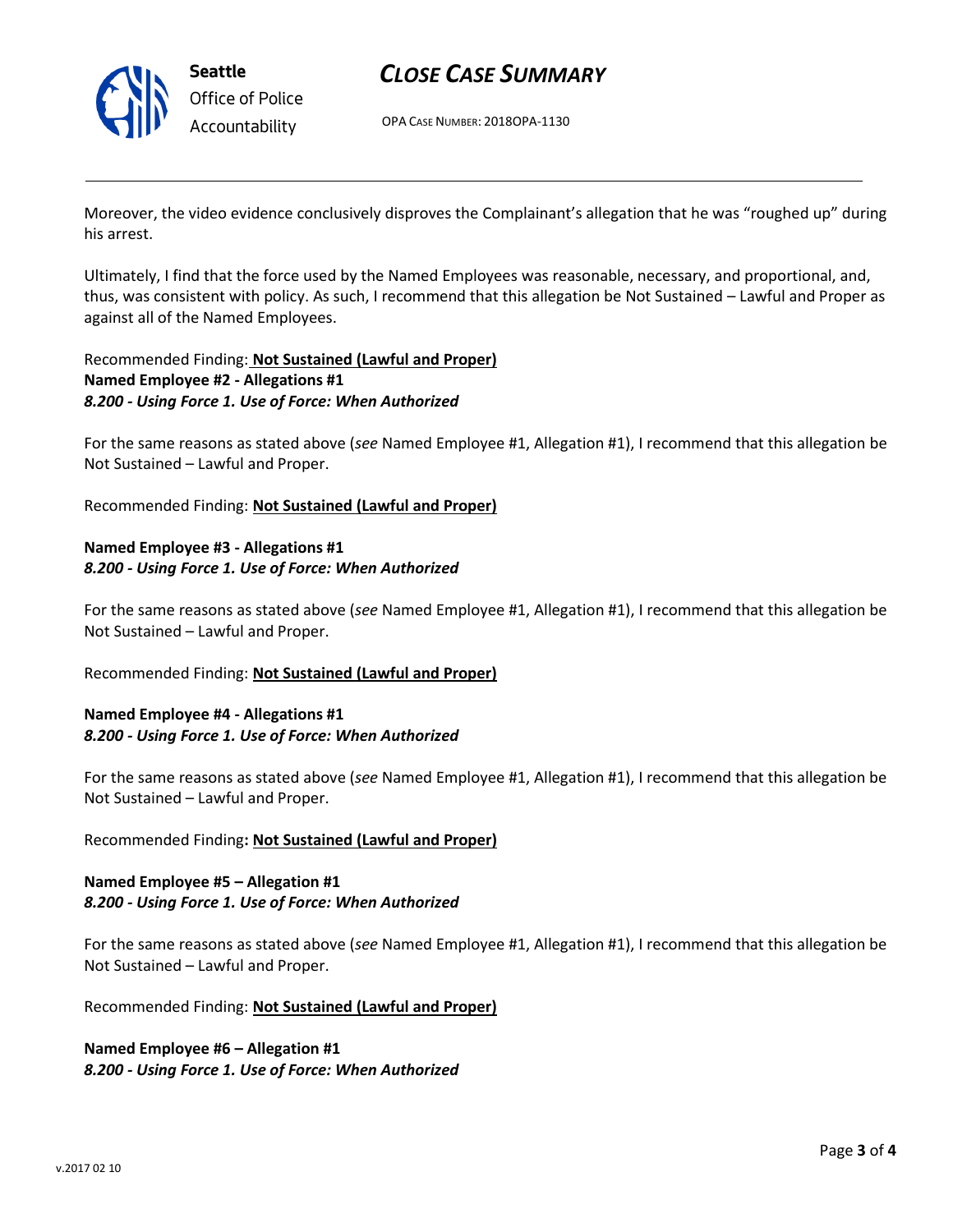

**Seattle** *Office of Police Accountability*

# *CLOSE CASE SUMMARY*

OPA CASE NUMBER: 2018OPA-1130

Moreover, the video evidence conclusively disproves the Complainant's allegation that he was "roughed up" during his arrest.

Ultimately, I find that the force used by the Named Employees was reasonable, necessary, and proportional, and, thus, was consistent with policy. As such, I recommend that this allegation be Not Sustained – Lawful and Proper as against all of the Named Employees.

## Recommended Finding: **Not Sustained (Lawful and Proper) Named Employee #2 - Allegations #1** *8.200 - Using Force 1. Use of Force: When Authorized*

For the same reasons as stated above (*see* Named Employee #1, Allegation #1), I recommend that this allegation be Not Sustained – Lawful and Proper.

Recommended Finding: **Not Sustained (Lawful and Proper)**

## **Named Employee #3 - Allegations #1** *8.200 - Using Force 1. Use of Force: When Authorized*

For the same reasons as stated above (*see* Named Employee #1, Allegation #1), I recommend that this allegation be Not Sustained – Lawful and Proper.

Recommended Finding: **Not Sustained (Lawful and Proper)**

## **Named Employee #4 - Allegations #1** *8.200 - Using Force 1. Use of Force: When Authorized*

For the same reasons as stated above (*see* Named Employee #1, Allegation #1), I recommend that this allegation be Not Sustained – Lawful and Proper.

## Recommended Finding**: Not Sustained (Lawful and Proper)**

## **Named Employee #5 – Allegation #1** *8.200 - Using Force 1. Use of Force: When Authorized*

For the same reasons as stated above (*see* Named Employee #1, Allegation #1), I recommend that this allegation be Not Sustained – Lawful and Proper.

Recommended Finding: **Not Sustained (Lawful and Proper)**

## **Named Employee #6 – Allegation #1** *8.200 - Using Force 1. Use of Force: When Authorized*